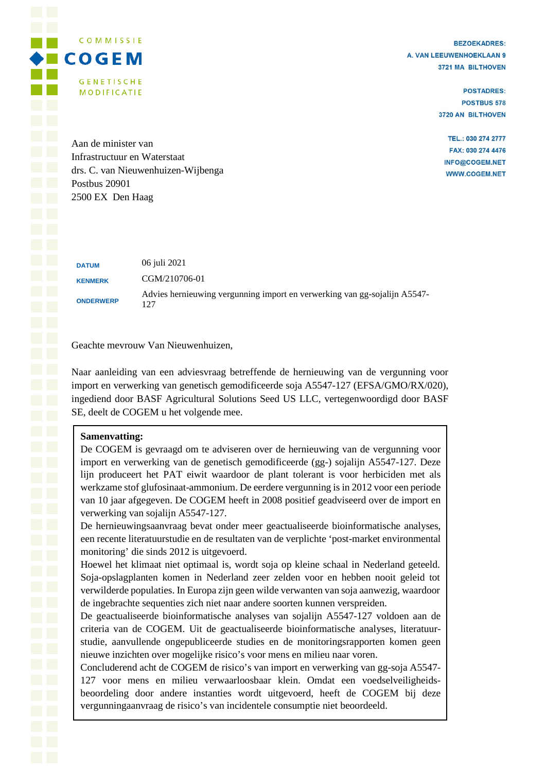**BEZOEKADRES:** A. VAN LEEUWENHOEKLAAN 9 3721 MA BILTHOVEN

> **POSTADRES: POSTBUS 578** 3720 AN BILTHOVEN

TEL.: 030 274 2777 FAX: 030 274 4476 INFO@COGEM.NET **WWW.COGEM.NET** 

Aan de minister van Infrastructuur en Waterstaat drs. C. van Nieuwenhuizen-Wijbenga Postbus 20901 2500 EX Den Haag

COMMISSIE

**GENETISCHE** 

**MODIFICATIE** 

**DATUM** 06 juli 2021 **KENMERK** CGM/210706-01 Advies hernieuwing vergunning import en verwerking van gg-sojalijn A5547-<br>
Advies hernieuwing vergunning import en verwerking van gg-sojalijn A5547-127

Geachte mevrouw Van Nieuwenhuizen,

Naar aanleiding van een adviesvraag betreffende de hernieuwing van de vergunning voor import en verwerking van genetisch gemodificeerde soja A5547-127 (EFSA/GMO/RX/020), ingediend door BASF Agricultural Solutions Seed US LLC, vertegenwoordigd door BASF SE, deelt de COGEM u het volgende mee.

## **Samenvatting:**

De COGEM is gevraagd om te adviseren over de hernieuwing van de vergunning voor import en verwerking van de genetisch gemodificeerde (gg-) sojalijn A5547-127. Deze lijn produceert het PAT eiwit waardoor de plant tolerant is voor herbiciden met als werkzame stof glufosinaat-ammonium. De eerdere vergunning is in 2012 voor een periode van 10 jaar afgegeven. De COGEM heeft in 2008 positief geadviseerd over de import en verwerking van sojalijn A5547-127.

De hernieuwingsaanvraag bevat onder meer geactualiseerde bioinformatische analyses, een recente literatuurstudie en de resultaten van de verplichte 'post-market environmental monitoring' die sinds 2012 is uitgevoerd.

Hoewel het klimaat niet optimaal is, wordt soja op kleine schaal in Nederland geteeld. Soja-opslagplanten komen in Nederland zeer zelden voor en hebben nooit geleid tot verwilderde populaties. In Europa zijn geen wilde verwanten van soja aanwezig, waardoor de ingebrachte sequenties zich niet naar andere soorten kunnen verspreiden.

De geactualiseerde bioinformatische analyses van sojalijn A5547-127 voldoen aan de criteria van de COGEM. Uit de geactualiseerde bioinformatische analyses, literatuurstudie, aanvullende ongepubliceerde studies en de monitoringsrapporten komen geen nieuwe inzichten over mogelijke risico's voor mens en milieu naar voren.

Concluderend acht de COGEM de risico's van import en verwerking van gg-soja A5547- 127 voor mens en milieu verwaarloosbaar klein. Omdat een voedselveiligheidsbeoordeling door andere instanties wordt uitgevoerd, heeft de COGEM bij deze vergunningaanvraag de risico's van incidentele consumptie niet beoordeeld.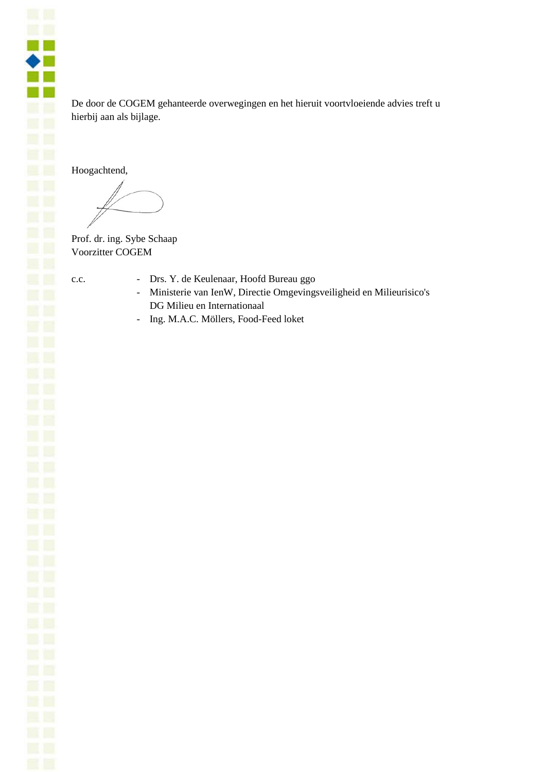De door de COGEM gehanteerde overwegingen en het hieruit voortvloeiende advies treft u hierbij aan als bijlage.

Hoogachtend,

Prof. dr. ing. Sybe Schaap Voorzitter COGEM

n fil  $\bullet$   $\blacksquare$ a. **CONTRACTOR** 

- c.c. Drs. Y. de Keulenaar, Hoofd Bureau ggo
	- Ministerie van IenW, Directie Omgevingsveiligheid en Milieurisico's DG Milieu en Internationaal
	- Ing. M.A.C. Möllers, Food-Feed loket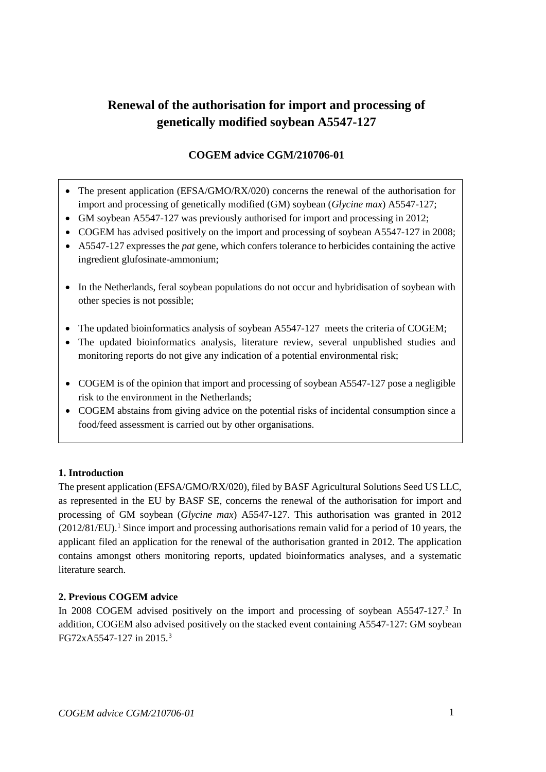# **Renewal of the authorisation for import and processing of genetically modified soybean A5547-127**

## **COGEM advice CGM/210706-01**

- The present application (EFSA/GMO/RX/020) concerns the renewal of the authorisation for import and processing of genetically modified (GM) soybean (*Glycine max*) A5547-127;
- GM soybean A5547-127 was previously authorised for import and processing in 2012;
- COGEM has advised positively on the import and processing of soybean A5547-127 in 2008;
- A5547-127 expresses the *pat* gene, which confers tolerance to herbicides containing the active ingredient glufosinate-ammonium;
- In the Netherlands, feral soybean populations do not occur and hybridisation of soybean with other species is not possible;
- The updated bioinformatics analysis of soybean A5547-127 meets the criteria of COGEM:
- The updated bioinformatics analysis, literature review, several unpublished studies and monitoring reports do not give any indication of a potential environmental risk;
- COGEM is of the opinion that import and processing of soybean A5547-127 pose a negligible risk to the environment in the Netherlands;
- COGEM abstains from giving advice on the potential risks of incidental consumption since a food/feed assessment is carried out by other organisations.

## **1. Introduction**

The present application (EFSA/GMO/RX/020), filed by BASF Agricultural Solutions Seed US LLC, as represented in the EU by BASF SE, concerns the renewal of the authorisation for import and processing of GM soybean (*Glycine max*) A5547-127. This authorisation was granted in 2012  $(2012/81/EU)$  $(2012/81/EU)$  $(2012/81/EU)$ .<sup>1</sup> Since import and processing authorisations remain valid for a period of 10 years, the applicant filed an application for the renewal of the authorisation granted in 2012. The application contains amongst others monitoring reports, updated bioinformatics analyses, and a systematic literature search.

## **2. Previous COGEM advice**

<span id="page-2-0"></span>In [2](#page-5-1)008 COGEM advised positively on the import and processing of soybean A5547-127.<sup>2</sup> In addition, COGEM also advised positively on the stacked event containing A5547-127: GM soybean FG72xA5547-127 in 2015.<sup>[3](#page-5-2)</sup>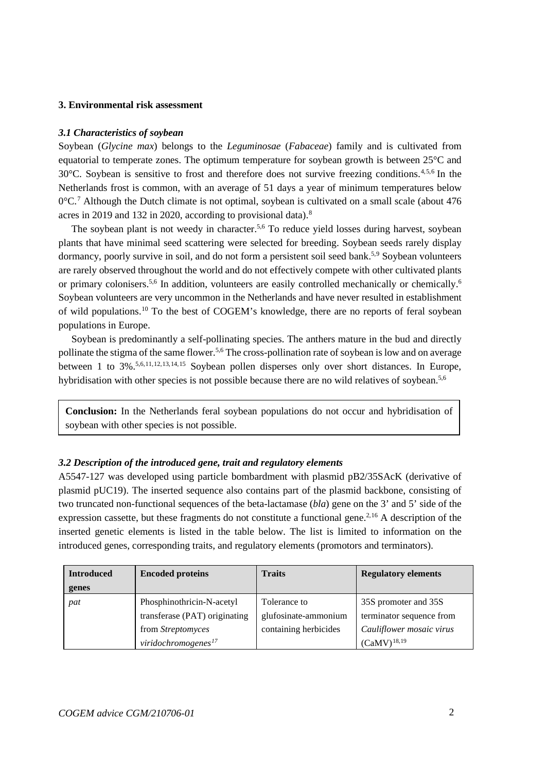#### **3. Environmental risk assessment**

#### *3.1 Characteristics of soybean*

<span id="page-3-1"></span><span id="page-3-0"></span>Soybean (*Glycine max*) belongs to the *Leguminosae* (*Fabaceae*) family and is cultivated from equatorial to temperate zones. The optimum temperature for soybean growth is between 25°C and 30°C. Soybean is sensitive to frost and therefore does not survive freezing conditions.[4](#page-5-3),[5](#page-5-4),[6](#page-5-5) In the Netherlands frost is common, with an average of 51 days a year of minimum temperatures below  $0^{\circ}$ C.<sup>[7](#page-5-6)</sup> Although the Dutch climate is not optimal, soybean is cultivated on a small scale (about 476) acres in 2019 and 132 in 2020, according to provisional data).[8](#page-6-0)

The soybean plant is not weedy in character.<sup>5,[6](#page-3-1)</sup> To reduce yield losses during harvest, soybean plants that have minimal seed scattering were selected for breeding. Soybean seeds rarely display dormancy, poorly survive in soil, and do not form a persistent soil seed bank.<sup>5,[9](#page-6-1)</sup> Soybean volunteers are rarely observed throughout the world and do not effectively compete with other cultivated plants or primary colonisers.<sup>5,[6](#page-3-1)</sup> In addition, volunteers are easily controlled mechanically or chemically.<sup>6</sup> Soybean volunteers are very uncommon in the Netherlands and have never resulted in establishment of wild populations.[10](#page-6-2) To the best of COGEM's knowledge, there are no reports of feral soybean populations in Europe.

Soybean is predominantly a self-pollinating species. The anthers mature in the bud and directly pollinate the stigma of the same flower.<sup>5,[6](#page-3-1)</sup> The cross-pollination rate of soybean is low and on average between 1 to 3%[.5,](#page-3-0)[6,](#page-3-1)[11,](#page-6-3)[12,](#page-6-4)[13](#page-6-5),[14](#page-6-6),[15](#page-6-7) Soybean pollen disperses only over short distances. In Europe, hybridisation with other species is not possible because there are no wild relatives of soybean.<sup>5[,6](#page-3-1)</sup>

**Conclusion:** In the Netherlands feral soybean populations do not occur and hybridisation of soybean with other species is not possible.

#### *3.2 Description of the introduced gene, trait and regulatory elements*

A5547-127 was developed using particle bombardment with plasmid pB2/35SAcK (derivative of plasmid pUC19). The inserted sequence also contains part of the plasmid backbone, consisting of two truncated non-functional sequences of the beta-lactamase (*bla*) gene on the 3' and 5' side of the expression cassette, but these fragments do not constitute a functional gene.<sup>[2,](#page-2-0)[16](#page-6-8)</sup> A description of the inserted genetic elements is listed in the table below. The list is limited to information on the introduced genes, corresponding traits, and regulatory elements (promotors and terminators).

| <b>Introduced</b> | <b>Encoded proteins</b>       | <b>Traits</b>         | <b>Regulatory elements</b> |
|-------------------|-------------------------------|-----------------------|----------------------------|
| genes             |                               |                       |                            |
| pat               | Phosphinothricin-N-acetyl     | Tolerance to          | 35S promoter and 35S       |
|                   | transferase (PAT) originating | glufosinate-ammonium  | terminator sequence from   |
|                   | from <i>Streptomyces</i>      | containing herbicides | Cauliflower mosaic virus   |
|                   | viridochromogenes $^{17}$     |                       | $(CaMV)^{18,19}$           |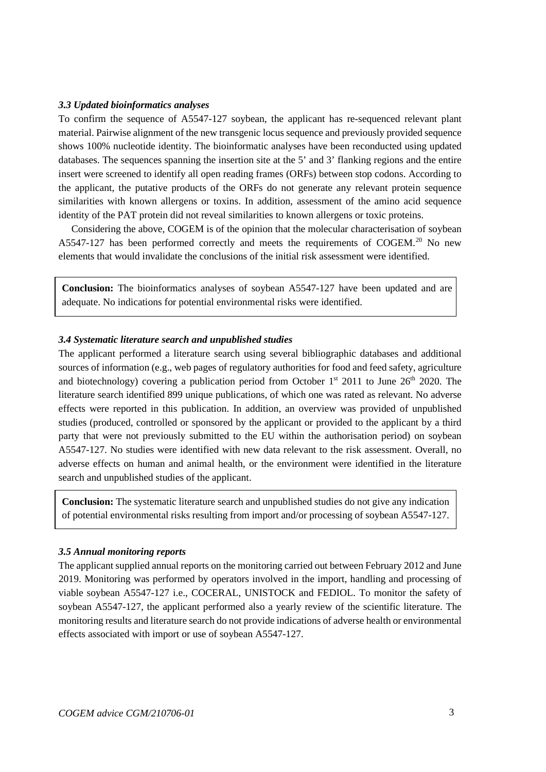#### *3.3 Updated bioinformatics analyses*

To confirm the sequence of A5547-127 soybean, the applicant has re-sequenced relevant plant material. Pairwise alignment of the new transgenic locus sequence and previously provided sequence shows 100% nucleotide identity. The bioinformatic analyses have been reconducted using updated databases. The sequences spanning the insertion site at the 5' and 3' flanking regions and the entire insert were screened to identify all open reading frames (ORFs) between stop codons. According to the applicant, the putative products of the ORFs do not generate any relevant protein sequence similarities with known allergens or toxins. In addition, assessment of the amino acid sequence identity of the PAT protein did not reveal similarities to known allergens or toxic proteins.

Considering the above, COGEM is of the opinion that the molecular characterisation of soybean  $A5547-127$  has been performed correctly and meets the requirements of COGEM.<sup>[20](#page-6-12)</sup> No new elements that would invalidate the conclusions of the initial risk assessment were identified.

**Conclusion:** The bioinformatics analyses of soybean A5547-127 have been updated and are adequate. No indications for potential environmental risks were identified.

#### *3.4 Systematic literature search and unpublished studies*

The applicant performed a literature search using several bibliographic databases and additional sources of information (e.g., web pages of regulatory authorities for food and feed safety, agriculture and biotechnology) covering a publication period from October  $1<sup>st</sup>$  2011 to June 26<sup>th</sup> 2020. The literature search identified 899 unique publications, of which one was rated as relevant. No adverse effects were reported in this publication. In addition, an overview was provided of unpublished studies (produced, controlled or sponsored by the applicant or provided to the applicant by a third party that were not previously submitted to the EU within the authorisation period) on soybean A5547-127. No studies were identified with new data relevant to the risk assessment. Overall, no adverse effects on human and animal health, or the environment were identified in the literature search and unpublished studies of the applicant.

**Conclusion:** The systematic literature search and unpublished studies do not give any indication of potential environmental risks resulting from import and/or processing of soybean A5547-127.

#### *3.5 Annual monitoring reports*

The applicant supplied annual reports on the monitoring carried out between February 2012 and June 2019. Monitoring was performed by operators involved in the import, handling and processing of viable soybean A5547-127 i.e., COCERAL, UNISTOCK and FEDIOL. To monitor the safety of soybean A5547-127, the applicant performed also a yearly review of the scientific literature. The monitoring results and literature search do not provide indications of adverse health or environmental effects associated with import or use of soybean A5547-127.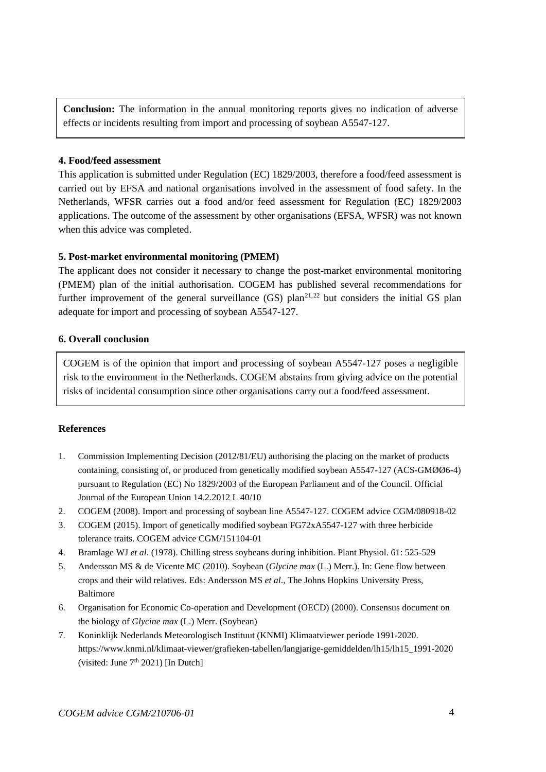**Conclusion:** The information in the annual monitoring reports gives no indication of adverse effects or incidents resulting from import and processing of soybean A5547-127.

## **4. Food/feed assessment**

This application is submitted under Regulation (EC) 1829/2003, therefore a food/feed assessment is carried out by EFSA and national organisations involved in the assessment of food safety. In the Netherlands, WFSR carries out a food and/or feed assessment for Regulation (EC) 1829/2003 applications. The outcome of the assessment by other organisations (EFSA, WFSR) was not known when this advice was completed.

## **5. Post-market environmental monitoring (PMEM)**

The applicant does not consider it necessary to change the post-market environmental monitoring (PMEM) plan of the initial authorisation. COGEM has published several recommendations for further improvement of the general surveillance  $(GS)$  plan<sup>[21](#page-6-13),[22](#page-6-14)</sup> but considers the initial GS plan adequate for import and processing of soybean A5547-127.

## **6. Overall conclusion**

COGEM is of the opinion that import and processing of soybean A5547-127 poses a negligible risk to the environment in the Netherlands. COGEM abstains from giving advice on the potential risks of incidental consumption since other organisations carry out a food/feed assessment.

### **References**

- <span id="page-5-0"></span>1. Commission Implementing Decision (2012/81/EU) authorising the placing on the market of products containing, consisting of, or produced from genetically modified soybean A5547-127 (ACS-GMØØ6-4) pursuant to Regulation (EC) No 1829/2003 of the European Parliament and of the Council. Official Journal of the European Union 14.2.2012 L 40/10
- <span id="page-5-1"></span>2. COGEM (2008). Import and processing of soybean line A5547-127. COGEM advice CGM/080918-02
- <span id="page-5-2"></span>3. COGEM (2015). Import of genetically modified soybean FG72xA5547-127 with three herbicide tolerance traits. COGEM advice CGM/151104-01
- <span id="page-5-3"></span>4. Bramlage WJ *et al*. (1978). Chilling stress soybeans during inhibition. Plant Physiol. 61: 525-529
- <span id="page-5-4"></span>5. Andersson MS & de Vicente MC (2010). Soybean (*Glycine max* (L.) Merr.). In: Gene flow between crops and their wild relatives. Eds: Andersson MS *et al*., The Johns Hopkins University Press, Baltimore
- <span id="page-5-5"></span>6. Organisation for Economic Co-operation and Development (OECD) (2000). Consensus document on the biology of *Glycine max* (L.) Merr. (Soybean)
- <span id="page-5-6"></span>7. Koninklijk Nederlands Meteorologisch Instituut (KNMI) Klimaatviewer periode 1991-2020. https://www.knmi.nl/klimaat-viewer/grafieken-tabellen/langjarige-gemiddelden/lh15/lh15\_1991-2020 (visited: June  $7<sup>th</sup> 2021$ ) [In Dutch]